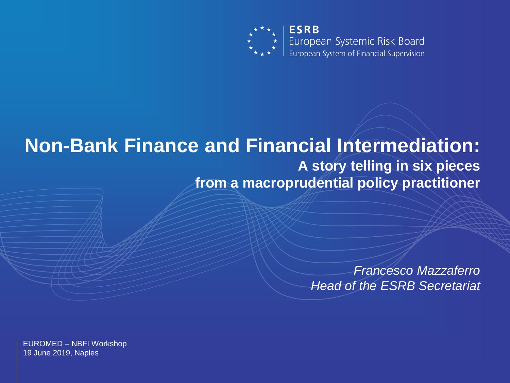

European Systemic Risk Board European System of Financial Supervision

#### **Non-Bank Finance and Financial Intermediation: A story telling in six pieces from a macroprudential policy practitioner**

*Francesco Mazzaferro Head of the ESRB Secretariat*

EUROMED – NBFI Workshop 19 June 2019, Naples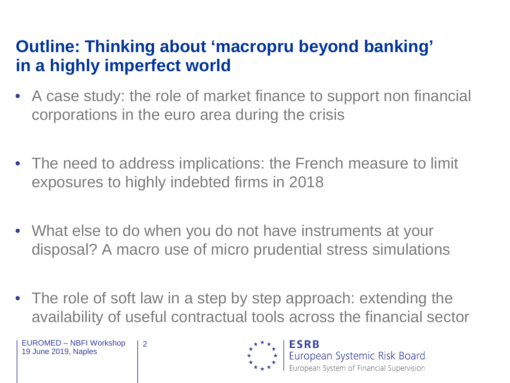## **Outline: Thinking about 'macropru beyond banking' in a highly imperfect world**

- A case study: the role of market finance to support non financial corporations in the euro area during the crisis
- The need to address implications: the French measure to limit exposures to highly indebted firms in 2018
- What else to do when you do not have instruments at your disposal? A macro use of micro prudential stress simulations
- The role of soft law in a step by step approach: extending the availability of useful contractual tools across the financial sector

EUROMED – NBFI Workshop 19 June 2019, Naples

2

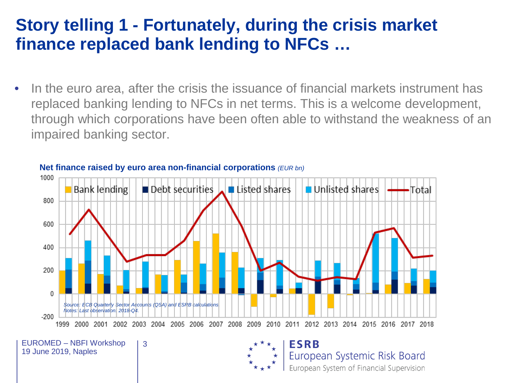#### **Story telling 1 - Fortunately, during the crisis market finance replaced bank lending to NFCs …**

In the euro area, after the crisis the issuance of financial markets instrument has replaced banking lending to NFCs in net terms. This is a welcome development, through which corporations have been often able to withstand the weakness of an impaired banking sector.



**Net finance raised by euro area non-financial corporations** *(EUR bn)*

3

EUROMED – NBFI Workshop 19 June 2019, Naples

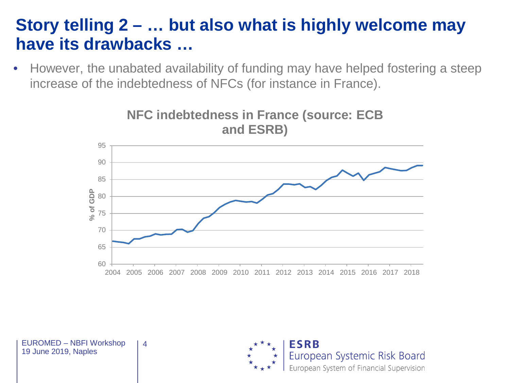#### **Story telling 2 – … but also what is highly welcome may have its drawbacks …**

• However, the unabated availability of funding may have helped fostering a steep increase of the indebtedness of NFCs (for instance in France).



4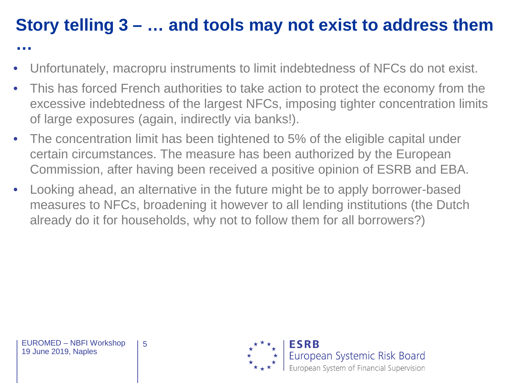# **Story telling 3 – … and tools may not exist to address them**

- Unfortunately, macropru instruments to limit indebtedness of NFCs do not exist.
- This has forced French authorities to take action to protect the economy from the excessive indebtedness of the largest NFCs, imposing tighter concentration limits of large exposures (again, indirectly via banks!).
- The concentration limit has been tightened to 5% of the eligible capital under certain circumstances. The measure has been authorized by the European Commission, after having been received a positive opinion of ESRB and EBA.
- Looking ahead, an alternative in the future might be to apply borrower-based measures to NFCs, broadening it however to all lending institutions (the Dutch already do it for households, why not to follow them for all borrowers?)

**…**

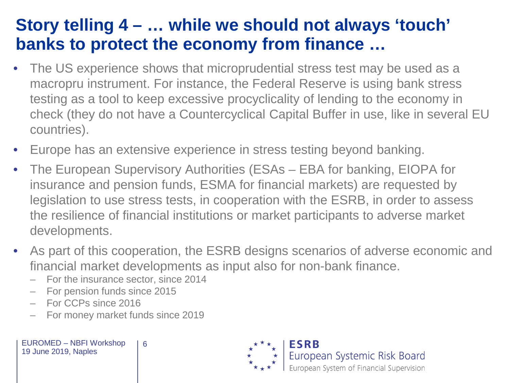## **Story telling 4 – … while we should not always 'touch' banks to protect the economy from finance …**

- The US experience shows that microprudential stress test may be used as a macropru instrument. For instance, the Federal Reserve is using bank stress testing as a tool to keep excessive procyclicality of lending to the economy in check (they do not have a Countercyclical Capital Buffer in use, like in several EU countries).
- Europe has an extensive experience in stress testing beyond banking.
- The European Supervisory Authorities (ESAs EBA for banking, EIOPA for insurance and pension funds, ESMA for financial markets) are requested by legislation to use stress tests, in cooperation with the ESRB, in order to assess the resilience of financial institutions or market participants to adverse market developments.
- As part of this cooperation, the ESRB designs scenarios of adverse economic and financial market developments as input also for non-bank finance.<br>- For the insurance sector, since 2014
	-
	- For pension funds since 2015
	- For CCPs since 2016
	- For money market funds since 2019

6

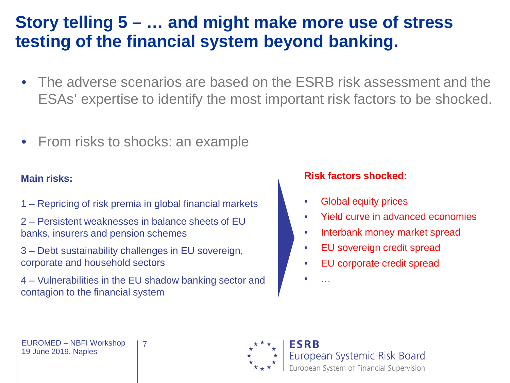## **Story telling 5 – … and might make more use of stress testing of the financial system beyond banking.**

- The adverse scenarios are based on the ESRB risk assessment and the ESAs' expertise to identify the most important risk factors to be shocked.
- From risks to shocks: an example

#### **Main risks:**

- 1 Repricing of risk premia in global financial markets
- 2 Persistent weaknesses in balance sheets of EU banks, insurers and pension schemes
- 3 Debt sustainability challenges in EU sovereign, corporate and household sectors
- 4 Vulnerabilities in the EU shadow banking sector and contagion to the financial system

7

#### **Risk factors shocked:**

- Global equity prices
- Yield curve in advanced economies
- Interbank money market spread
- EU sovereign credit spread
- EU corporate credit spread

**Systemic Risk Board** 

pean System of Financial Supervision

• …